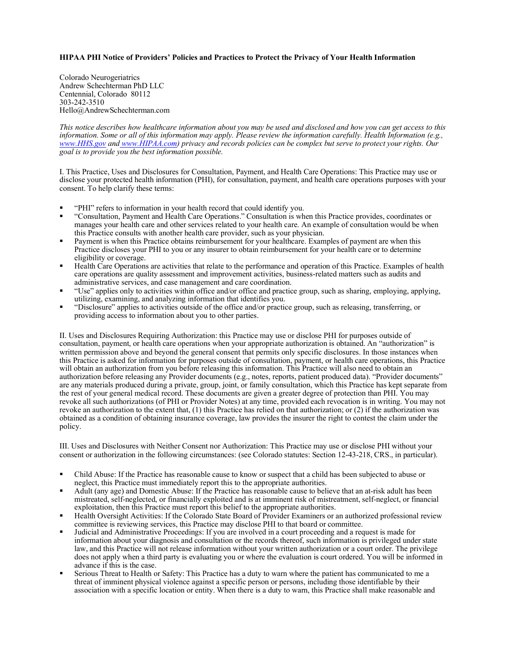## **HIPAA PHI Notice of Providers' Policies and Practices to Protect the Privacy of Your Health Information**

Colorado Neurogeriatrics Andrew Schechterman PhD LLC Centennial, Colorado 80112 303-242-3510 Hello@AndrewSchechterman.com

*This notice describes how healthcare information about you may be used and disclosed and how you can get access to this information. Some or all of this information may apply. Please review the information carefully. Health Information (e.g., www.HHS.gov and www.HIPAA.com) privacy and records policies can be complex but serve to protect your rights. Our goal is to provide you the best information possible.* 

I. This Practice, Uses and Disclosures for Consultation, Payment, and Health Care Operations: This Practice may use or disclose your protected health information (PHI), for consultation, payment, and health care operations purposes with your consent. To help clarify these terms:

- § "PHI" refers to information in your health record that could identify you.
- § "Consultation, Payment and Health Care Operations." Consultation is when this Practice provides, coordinates or manages your health care and other services related to your health care. An example of consultation would be when this Practice consults with another health care provider, such as your physician.
- Payment is when this Practice obtains reimbursement for your healthcare. Examples of payment are when this Practice discloses your PHI to you or any insurer to obtain reimbursement for your health care or to determine eligibility or coverage.
- § Health Care Operations are activities that relate to the performance and operation of this Practice. Examples of health care operations are quality assessment and improvement activities, business-related matters such as audits and administrative services, and case management and care coordination.
- § "Use" applies only to activities within office and/or office and practice group, such as sharing, employing, applying, utilizing, examining, and analyzing information that identifies you.
- § "Disclosure" applies to activities outside of the office and/or practice group, such as releasing, transferring, or providing access to information about you to other parties.

II. Uses and Disclosures Requiring Authorization: this Practice may use or disclose PHI for purposes outside of consultation, payment, or health care operations when your appropriate authorization is obtained. An "authorization" is written permission above and beyond the general consent that permits only specific disclosures. In those instances when this Practice is asked for information for purposes outside of consultation, payment, or health care operations, this Practice will obtain an authorization from you before releasing this information. This Practice will also need to obtain an authorization before releasing any Provider documents (e.g., notes, reports, patient produced data). "Provider documents" are any materials produced during a private, group, joint, or family consultation, which this Practice has kept separate from the rest of your general medical record. These documents are given a greater degree of protection than PHI. You may revoke all such authorizations (of PHI or Provider Notes) at any time, provided each revocation is in writing. You may not revoke an authorization to the extent that, (1) this Practice has relied on that authorization; or (2) if the authorization was obtained as a condition of obtaining insurance coverage, law provides the insurer the right to contest the claim under the policy.

III. Uses and Disclosures with Neither Consent nor Authorization: This Practice may use or disclose PHI without your consent or authorization in the following circumstances: (see Colorado statutes: Section 12-43-218, CRS., in particular).

- § Child Abuse: If the Practice has reasonable cause to know or suspect that a child has been subjected to abuse or neglect, this Practice must immediately report this to the appropriate authorities.
- § Adult (any age) and Domestic Abuse: If the Practice has reasonable cause to believe that an at-risk adult has been mistreated, self-neglected, or financially exploited and is at imminent risk of mistreatment, self-neglect, or financial exploitation, then this Practice must report this belief to the appropriate authorities.
- § Health Oversight Activities: If the Colorado State Board of Provider Examiners or an authorized professional review committee is reviewing services, this Practice may disclose PHI to that board or committee.
- § Judicial and Administrative Proceedings: If you are involved in a court proceeding and a request is made for information about your diagnosis and consultation or the records thereof, such information is privileged under state law, and this Practice will not release information without your written authorization or a court order. The privilege does not apply when a third party is evaluating you or where the evaluation is court ordered. You will be informed in advance if this is the case.
- § Serious Threat to Health or Safety: This Practice has a duty to warn where the patient has communicated to me a threat of imminent physical violence against a specific person or persons, including those identifiable by their association with a specific location or entity. When there is a duty to warn, this Practice shall make reasonable and